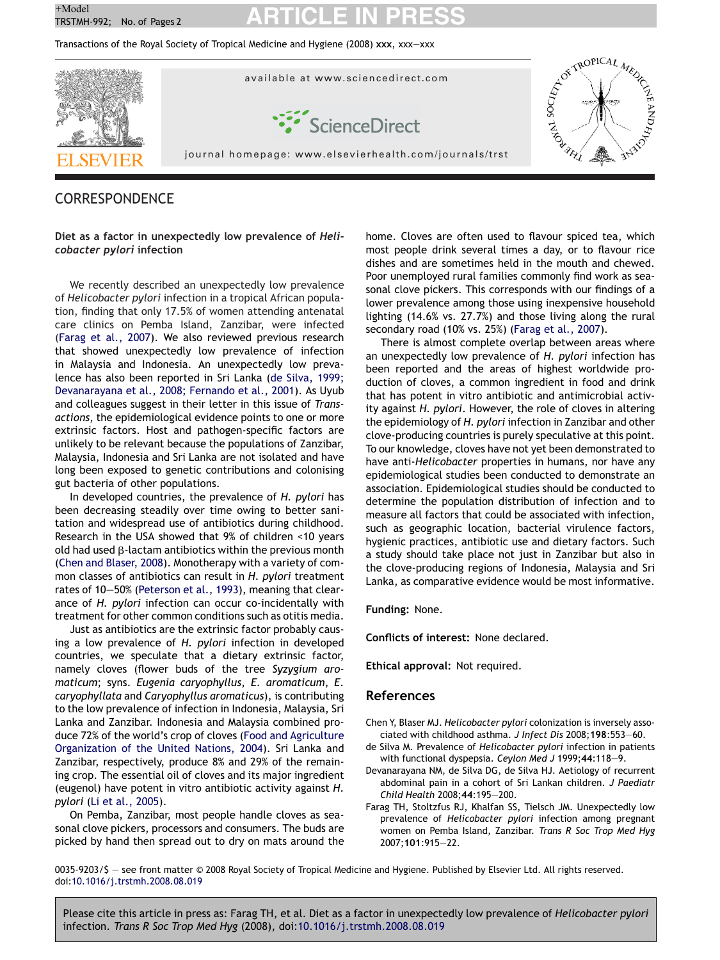## <sup>+Model</sup> TRSTMH-992; No. of Pages 2 **ARTICLE IN PRESS**

Transactions of the Royal Society of Tropical Medicine and Hygiene (2008) **xxx**, xxx—xxx



### CORRESPONDENCE

**Diet as a factor in unexpectedly low prevalence of** *Helicobacter pylori* **infection**

We recently described an unexpectedly low prevalence of *Helicobacter pylori* infection in a tropical African population, finding that only 17.5% of women attending antenatal care clinics on Pemba Island, Zanzibar, were infected (Farag et al., 2007). We also reviewed previous research that showed unexpectedly low prevalence of infection in Malaysia and Indonesia. An unexpectedly low prevalence has also been reported in Sri Lanka (de Silva, 1999; Devanarayana et al., 2008; Fernando et al., 2001). As Uyub and colleagues suggest in their letter in this issue of *Transactions*, the epidemiological evidence points to one or more extrinsic factors. Host and pathogen-specific factors are unlikely to be relevant because the populations of Zanzibar, Malaysia, Indonesia and Sri Lanka are not isolated and have long been exposed to genetic contributions and colonising gut bacteria of other populations.

In developed countries, the prevalence of *H. pylori* has been decreasing steadily over time owing to better sanitation and widespread use of antibiotics during childhood. Research in the USA showed that 9% of children <10 years old had used  $\beta$ -lactam antibiotics within the previous month (Chen and Blaser, 2008). Monotherapy with a variety of common classes of antibiotics can result in *H. pylori* treatment rates of 10—50% ([Peterson et al., 1993\),](#page-1-0) meaning that clearance of *H. pylori* infection can occur co-incidentally with treatment for other common conditions such as otitis media.

Just as antibiotics are the extrinsic factor probably causing a low prevalence of *H. pylori* infection in developed countries, we speculate that a dietary extrinsic factor, namely cloves (flower buds of the tree *Syzygium aromaticum*; syns. *Eugenia caryophyllus*, *E. aromaticum*, *E. caryophyllata* and *Caryophyllus aromaticus*), is contributing to the low prevalence of infection in Indonesia, Malaysia, Sri Lanka and Zanzibar. Indonesia and Malaysia combined produce 72% of the world's crop of cloves ([Food and Agriculture](#page-1-0) [Organization of the United Nations, 2004\).](#page-1-0) Sri Lanka and Zanzibar, respectively, produce 8% and 29% of the remaining crop. The essential oil of cloves and its major ingredient (eugenol) have potent in vitro antibiotic activity against *H. pylori* [\(Li et al., 2005\).](#page-1-0)

On Pemba, Zanzibar, most people handle cloves as seasonal clove pickers, processors and consumers. The buds are picked by hand then spread out to dry on mats around the home. Cloves are often used to flavour spiced tea, which most people drink several times a day, or to flavour rice dishes and are sometimes held in the mouth and chewed. Poor unemployed rural families commonly find work as seasonal clove pickers. This corresponds with our findings of a lower prevalence among those using inexpensive household lighting (14.6% vs. 27.7%) and those living along the rural secondary road (10% vs. 25%) (Farag et al., 2007).

There is almost complete overlap between areas where an unexpectedly low prevalence of *H. pylori* infection has been reported and the areas of highest worldwide production of cloves, a common ingredient in food and drink that has potent in vitro antibiotic and antimicrobial activity against *H. pylori*. However, the role of cloves in altering the epidemiology of *H. pylori* infection in Zanzibar and other clove-producing countries is purely speculative at this point. To our knowledge, cloves have not yet been demonstrated to have anti-*Helicobacter* properties in humans, nor have any epidemiological studies been conducted to demonstrate an association. Epidemiological studies should be conducted to determine the population distribution of infection and to measure all factors that could be associated with infection, such as geographic location, bacterial virulence factors, hygienic practices, antibiotic use and dietary factors. Such a study should take place not just in Zanzibar but also in the clove-producing regions of Indonesia, Malaysia and Sri Lanka, as comparative evidence would be most informative.

**Funding:** None.

**Conflicts of interest:** None declared.

**Ethical approval:** Not required.

#### **References**

Chen Y, Blaser MJ. *Helicobacter pylori* colonization is inversely associated with childhood asthma. *J Infect Dis* 2008;**198**:553—60.

- de Silva M. Prevalence of *Helicobacter pylori* infection in patients with functional dyspepsia. *Ceylon Med J* 1999;**44**:118—9.
- Devanarayana NM, de Silva DG, de Silva HJ. Aetiology of recurrent abdominal pain in a cohort of Sri Lankan children. *J Paediatr Child Health* 2008;**44**:195—200.
- Farag TH, Stoltzfus RJ, Khalfan SS, Tielsch JM. Unexpectedly low prevalence of *Helicobacter pylori* infection among pregnant women on Pemba Island, Zanzibar. *Trans R Soc Trop Med Hyg* 2007;**101**:915—22.

0035-9203/\$ — see front matter © 2008 Royal Society of Tropical Medicine and Hygiene. Published by Elsevier Ltd. All rights reserved. doi[:10.1016/j.trstmh.2008.08.019](dx.doi.org/10.1016/j.trstmh.2008.08.019)

Please cite this article in press as: Farag TH, et al. Diet as a factor in unexpectedly low prevalence of *Helicobacter pylori* infection. *Trans R Soc Trop Med Hyg* (2008), doi[:10.1016/j.trstmh.2008.08.019](dx.doi.org/10.1016/j.trstmh.2008.08.019)